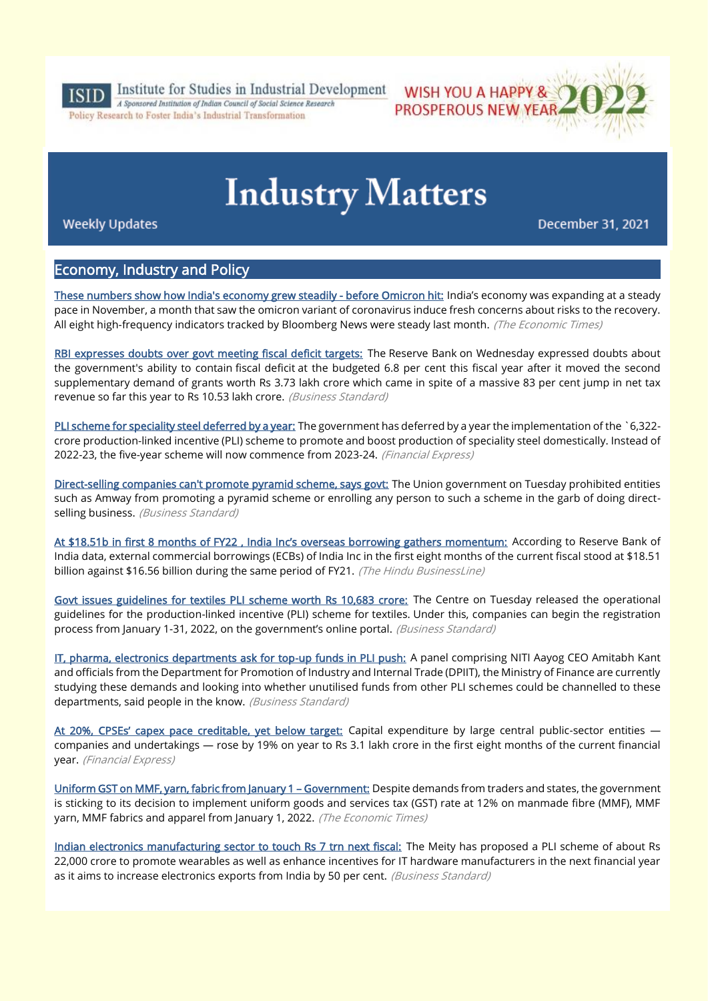

Institute for Studies in Industrial Development A Sponsored Institution of Indian Council of Social Science Research

Policy Research to Foster India's Industrial Transformation

# **Industry Matters**

WISH YOU A HAPPY &

**PROSPEROUS NEW YEAR** 

**Weekly Updates** 

December 31, 2021

# Economy, Industry and Policy

[These numbers show how India's economy grew steadily - before Omicron hit:](https://economictimes.indiatimes.com/news/economy/indicators/these-numbers-show-how-indias-economy-grew-steadily-before-omicron-hit/articleshow/88536071.cms) India's economy was expanding at a steady pace in November, a month that saw the omicron variant of coronavirus induce fresh concerns about risks to the recovery. All eight high-frequency indicators tracked by Bloomberg News were steady last month. (The Economic Times)

[RBI expresses doubts over govt meeting fiscal deficit targets:](https://www.business-standard.com/article/economy-policy/rbi-expresses-doubts-over-govt-meeting-fiscal-deficit-targets-121122901321_1.html) The Reserve Bank on Wednesday expressed doubts about the government's ability to contain fiscal deficit at the budgeted 6.8 per cent this fiscal year after it moved the second supplementary demand of grants worth Rs 3.73 lakh crore which came in spite of a massive 83 per cent jump in net tax revenue so far this year to Rs 10.53 lakh crore. (Business Standard)

[PLI scheme for speciality steel deferred by a year:](https://www.financialexpress.com/industry/pli-scheme-for-speciality-steel-deferred-by-a-year/2391405/) The government has deferred by a year the implementation of the `6,322crore production-linked incentive (PLI) scheme to promote and boost production of speciality steel domestically. Instead of 2022-23, the five-year scheme will now commence from 2023-24. (Financial Express)

[Direct-selling companies can't promote pyramid scheme, says govt:](https://www.business-standard.com/article/economy-policy/direct-selling-companies-can-t-promote-pyramid-scheme-says-govt-121122900020_1.html) The Union government on Tuesday prohibited entities such as Amway from promoting a pyramid scheme or enrolling any person to such a scheme in the garb of doing directselling business. (Business Standard)

[At \\$18.51b in first 8 months of FY22 , India Inc's overseas borrowing gathers momentum:](https://www.thehindubusinessline.com/money-and-banking/at-51-b-in-first-8-months-of-fy22-india-incs-overseas-borrowing-gathers-momentum/article38050814.ece) According to Reserve Bank of India data, external commercial borrowings (ECBs) of India Inc in the first eight months of the current fiscal stood at \$18.51 billion against \$16.56 billion during the same period of FY21. (The Hindu BusinessLine)

[Govt issues guidelines for textiles PLI scheme worth Rs 10,683 crore:](https://www.business-standard.com/article/economy-policy/govt-issues-guidelines-for-textiles-pli-scheme-worth-rs-10-683-crore-121122801194_1.html) The Centre on Tuesday released the operational guidelines for the production-linked incentive (PLI) scheme for textiles. Under this, companies can begin the registration process from January 1-31, 2022, on the government's online portal. (Business Standard)

[IT, pharma, electronics departments ask for top-up funds in PLI push:](https://www.business-standard.com/article/economy-policy/it-pharma-electronics-departments-ask-for-top-up-funds-in-pli-push-121123000029_1.html) A panel comprising NITI Aayog CEO Amitabh Kant and officials from the Department for Promotion of Industry and Internal Trade (DPIIT), the Ministry of Finance are currently studying these demands and looking into whether unutilised funds from other PLI schemes could be channelled to these departments, said people in the know. (Business Standard)

[At 20%, CPSEs' capex pace creditab](https://www.financialexpress.com/economy/at-20-cpses-capex-pace-creditable-yet-below-target/2390229/)le, yet below target: Capital expenditure by large central public-sector entities companies and undertakings — rose by 19% on year to Rs 3.1 lakh crore in the first eight months of the current financial year. (Financial Express)

[Uniform GST on MMF, yarn, fabric from January 1](https://economictimes.indiatimes.com/news/economy/policy/uniform-gst-on-mmf-yarn-fabric-from-january-1-government/articleshow/88525844.cms) – Government: Despite demands from traders and states, the government is sticking to its decision to implement uniform goods and services tax (GST) rate at 12% on manmade fibre (MMF), MMF yarn, MMF fabrics and apparel from January 1, 2022. (The Economic Times)

[Indian electronics manufacturing sector to touch Rs 7 trn next fiscal:](https://www.business-standard.com/article/economy-policy/indian-electronics-manufacturing-sector-to-touch-rs-7-trn-next-fiscal-121122500423_1.html) The Meity has proposed a PLI scheme of about Rs 22,000 crore to promote wearables as well as enhance incentives for IT hardware manufacturers in the next financial year as it aims to increase electronics exports from India by 50 per cent. (Business Standard)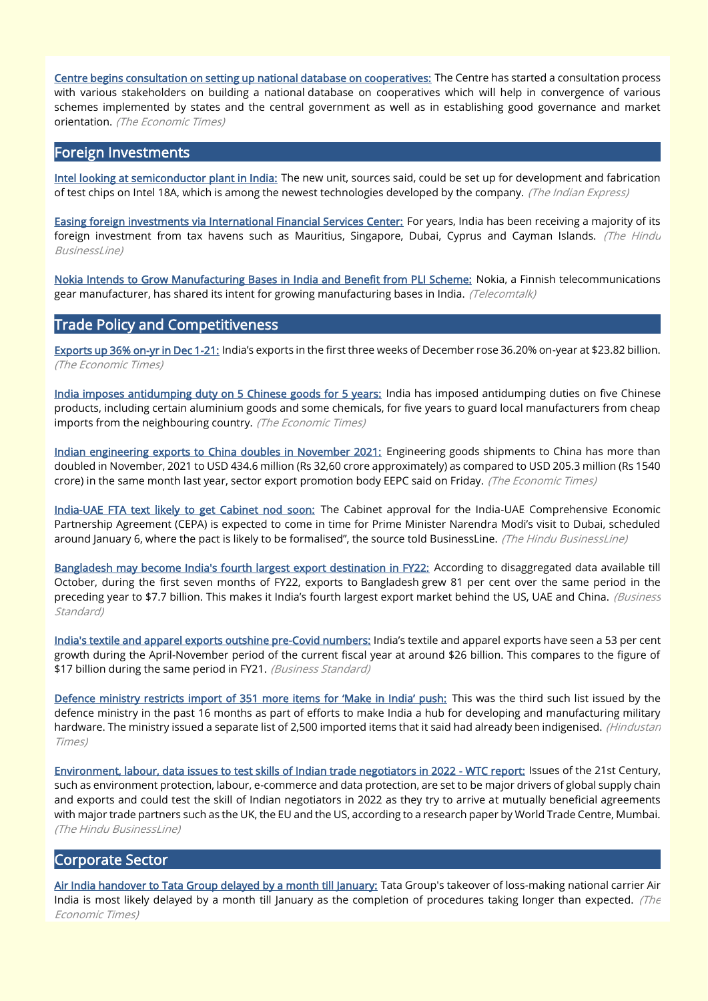[Centre begins consultation on setting up national database on cooperatives:](https://economictimes.indiatimes.com/industry/banking/finance/centre-begins-consultation-on-setting-up-national-database-on-cooperatives/articleshow/88501787.cms) The Centre has started a consultation process with various stakeholders on building a national database on cooperatives which will help in convergence of various schemes implemented by states and the central government as well as in establishing good governance and market orientation. (The Economic Times)

#### Foreign Investments

[Intel looking at semiconductor plant in India:](https://indianexpress.com/article/technology/tech-news-technology/intel-looking-at-semiconductor-plant-in-india-7695429/) The new unit, sources said, could be set up for development and fabrication of test chips on Intel 18A, which is among the newest technologies developed by the company. (The Indian Express)

[Easing foreign investments via International Financial Services Center:](https://www.thehindubusinessline.com/money-and-banking/easing-foreign-investments-via-international-financial-services-center/article38044117.ece) For years, India has been receiving a majority of its foreign investment from tax havens such as Mauritius, Singapore, Dubai, Cyprus and Cayman Islands. (The Hindu BusinessLine)

[Nokia Intends to Grow Manufacturing Bases in India and Benefit from PLI Scheme:](https://telecomtalk.info/nokia-intends-to-grow-manufacturing-bases-in/488185/) Nokia, a Finnish telecommunications gear manufacturer, has shared its intent for growing manufacturing bases in India. (Telecomtalk)

#### Trade Policy and Competitiveness

[Exports up 36% on-yr in Dec 1-21:](https://economictimes.indiatimes.com/news/economy/foreign-trade/exports-up-36-on-yr-in-dec-1-21/articleshow/88528094.cms) India's exports in the first three weeks of December rose 36.20% on-year at \$23.82 billion. (The Economic Times)

[India imposes antidumping duty on 5 Chinese goods for 5 years:](https://economictimes.indiatimes.com/news/economy/foreign-trade/india-imposes-antidumping-duty-on-5-chinese-goods-for-5-years/articleshow/88502207.cms) India has imposed antidumping duties on five Chinese products, including certain aluminium goods and some chemicals, for five years to guard local manufacturers from cheap imports from the neighbouring country. (The Economic Times)

[Indian engineering exports to China doubles in November 2021:](https://economictimes.indiatimes.com/news/economy/foreign-trade/indian-engineering-exports-to-china-doubles-in-november-2021/articleshow/88476233.cms) Engineering goods shipments to China has more than doubled in November, 2021 to USD 434.6 million (Rs 32,60 crore approximately) as compared to USD 205.3 million (Rs 1540 crore) in the same month last year, sector export promotion body EEPC said on Friday. (The Economic Times)

[India-UAE FTA text likely to get Cabinet nod soon:](https://www.thehindubusinessline.com/news/national/india-uae-fta-text-likely-to-get-cabinet-nod-soon/article38047108.ece) The Cabinet approval for the India-UAE Comprehensive Economic Partnership Agreement (CEPA) is expected to come in time for Prime Minister Narendra Modi's visit to Dubai, scheduled around January 6, where the pact is likely to be formalised", the source told BusinessLine. (The Hindu BusinessLine)

[Bangladesh may become India's fourth largest export destination in FY22:](https://www.business-standard.com/article/economy-policy/bangladesh-may-become-india-s-fourth-largest-export-destination-in-fy22-121122800026_1.html) According to disaggregated data available till October, during the first seven months of FY22, exports to Bangladesh grew 81 per cent over the same period in the preceding year to \$7.7 billion. This makes it India's fourth largest export market behind the US, UAE and China. (Business Standard)

[India's textile and apparel exports outshine pre-Covid numbers:](https://www.business-standard.com/article/economy-policy/india-s-textile-and-apparel-exports-outshine-pre-covid-numbers-121122700053_1.html) India's textile and apparel exports have seen a 53 per cent growth during the April-November period of the current fiscal year at around \$26 billion. This compares to the figure of \$17 billion during the same period in FY21. (Business Standard)

[Defence ministry restricts import of 351 more items for 'Make in India' push:](https://www.hindustantimes.com/india-news/defence-ministry-restricts-import-of-351-more-items-for-make-in-india-push-101640788224912-amp.html) This was the third such list issued by the defence ministry in the past 16 months as part of efforts to make India a hub for developing and manufacturing military hardware. The ministry issued a separate list of 2.500 imported items that it said had already been indigenised. (Hindustan Times)

[Environment, labour, data issues to test skills of Indian trade negotiators in 2022 - WTC report:](https://www.thehindubusinessline.com/economy/environment-labour-data-issues-to-test-skills-of-indian-trade-negotiators-in-2022-wtc-report/article38056829.ece) Issues of the 21st Century, such as environment protection, labour, e-commerce and data protection, are set to be major drivers of global supply chain and exports and could test the skill of Indian negotiators in 2022 as they try to arrive at mutually beneficial agreements with major trade partners such as the UK, the EU and the US, according to a research paper by World Trade Centre, Mumbai. (The Hindu BusinessLine)

# Corporate Sector

[Air India handover to Tata Group delayed by a month till January:](https://economictimes.indiatimes.com/industry/transportation/airlines-/-aviation/air-india-handover-to-tata-group-delayed-by-a-month-till-january/articleshow/88524513.cms) Tata Group's takeover of loss-making national carrier Air India is most likely delayed by a month till January as the completion of procedures taking longer than expected. (The Economic Times)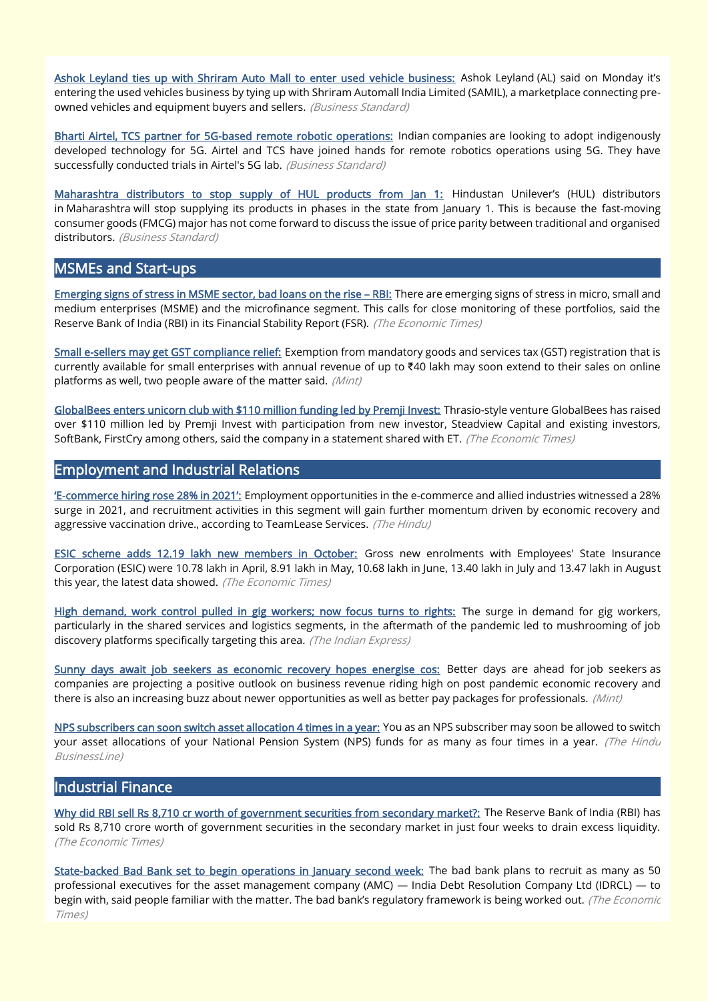[Ashok Leyland ties up with Shriram Auto Mall to enter used vehicle business:](https://www.business-standard.com/article/companies/ashok-leyland-ties-up-with-shriram-auto-mall-to-enter-used-vehicle-business-121122700959_1.html) Ashok Leyland (AL) said on Monday it's entering the used vehicles business by tying up with Shriram Automall India Limited (SAMIL), a marketplace connecting preowned vehicles and equipment buyers and sellers. (Business Standard)

[Bharti Airtel, TCS partner for 5G-based remote robotic operations:](https://www.business-standard.com/article/companies/bharti-airtel-tcs-partner-for-5g-based-remote-robotic-operations-121122800221_1.html) Indian companies are looking to adopt indigenously developed technology for 5G. Airtel and TCS have joined hands for remote robotics operations using 5G. They have successfully conducted trials in Airtel's 5G lab. (Business Standard)

[Maharashtra distributors to stop supply of HUL products from Jan 1:](https://www.business-standard.com/article/companies/maharashtra-distributors-to-stop-supply-of-hul-products-from-jan-1-121123000020_1.html) Hindustan Unilever's (HUL) distributors in Maharashtra will stop supplying its products in phases in the state from January 1. This is because the fast-moving consumer goods (FMCG) major has not come forward to discuss the issue of price parity between traditional and organised distributors. (Business Standard)

#### MSMEs and Start-ups

[Emerging signs of stress in MSME sector, bad loans on the rise](https://economictimes.indiatimes.com/small-biz/sme-sector/emerging-signs-of-stress-in-msme-sector-rbi/articleshow/88583093.cms) – RBI: There are emerging signs of stress in micro, small and medium enterprises (MSME) and the microfinance segment. This calls for close monitoring of these portfolios, said the Reserve Bank of India (RBI) in its Financial Stability Report (FSR). (The Economic Times)

[Small e-sellers may get GST compliance relief:](https://www.livemint.com/politics/policy/small-e-sellers-may-get-gst-compliance-relief-11640805728952.html) Exemption from mandatory goods and services tax (GST) registration that is currently available for small enterprises with annual revenue of up to ₹40 lakh may soon extend to their sales on online platforms as well, two people aware of the matter said. (Mint)

[GlobalBees enters unicorn club with \\$110 million funding led by Premji Invest:](https://economictimes.indiatimes.com/tech/startups/globalbees-enters-unicorn-club-with-110-million-funding-led-by-premji-invest/articleshow/88552306.cms) Thrasio-style venture GlobalBees has raised over \$110 million led by Premji Invest with participation from new investor, Steadview Capital and existing investors, SoftBank, FirstCry among others, said the company in a statement shared with ET. (The Economic Times)

#### Employment and Industrial Relations

'E-[commerce hiring rose 28% in 2021':](https://www.thehindu.com/business/Industry/e-commerce-hiring-rose-28-in-2021/article38067339.ece) Employment opportunities in the e-commerce and allied industries witnessed a 28% surge in 2021, and recruitment activities in this segment will gain further momentum driven by economic recovery and aggressive vaccination drive., according to TeamLease Services. (The Hindu)

[ESIC scheme adds 12.19 lakh new members in October:](https://economictimes.indiatimes.com/news/economy/finance/esic-scheme-adds-12-19-lakh-new-members-in-october/articleshow/88474281.cms) Gross new enrolments with Employees' State Insurance Corporation (ESIC) were 10.78 lakh in April, 8.91 lakh in May, 10.68 lakh in June, 13.40 lakh in July and 13.47 lakh in August this year, the latest data showed. (The Economic Times)

[High demand, work control pulled in gig workers; now focus turns to rights:](https://indianexpress.com/article/business/high-demand-work-control-pulled-in-gig-workers-now-focus-turns-to-rights-7693784/) The surge in demand for gig workers, particularly in the shared services and logistics segments, in the aftermath of the pandemic led to mushrooming of job discovery platforms specifically targeting this area. (The Indian Express)

[Sunny days await job seekers as economic recovery hopes energise cos:](https://www.livemint.com/news/india/sunny-days-await-job-seekers-as-economic-recovery-hopes-energise-cos-11640530927732.html) Better days are ahead for job seekers as companies are projecting a positive outlook on business revenue riding high on post pandemic economic recovery and there is also an increasing buzz about newer opportunities as well as better pay packages for professionals. (Mint)

[NPS subscribers can soon switch asset allocation 4 times in a year:](https://www.thehindubusinessline.com/news/nps-subscribers-can-soon-switch-asset-allocation-4-times-in-a-year/article38057615.ece) You as an NPS subscriber may soon be allowed to switch your asset allocations of your National Pension System (NPS) funds for as many as four times in a year. (The Hindu BusinessLine)

# Industrial Finance

[Why did RBI sell Rs 8,710 cr worth of government securities from secondary market?:](https://economictimes.indiatimes.com/news/economy/policy/why-did-rbi-sell-rs-8710-cr-worth-of-government-securities-from-secondary-market/articleshow/88509290.cms) The Reserve Bank of India (RBI) has sold Rs 8,710 crore worth of government securities in the secondary market in just four weeks to drain excess liquidity. (The Economic Times)

[State-backed Bad Bank set to begin operations in January second week:](https://economictimes.indiatimes.com/industry/banking/finance/banking/state-backed-bad-bank-set-to-begin-operations-in-january-second-week/articleshow/88509159.cms) The bad bank plans to recruit as many as 50 professional executives for the asset management company (AMC) — India Debt Resolution Company Ltd (IDRCL) — to begin with, said people familiar with the matter. The bad bank's regulatory framework is being worked out. (The Economic Times)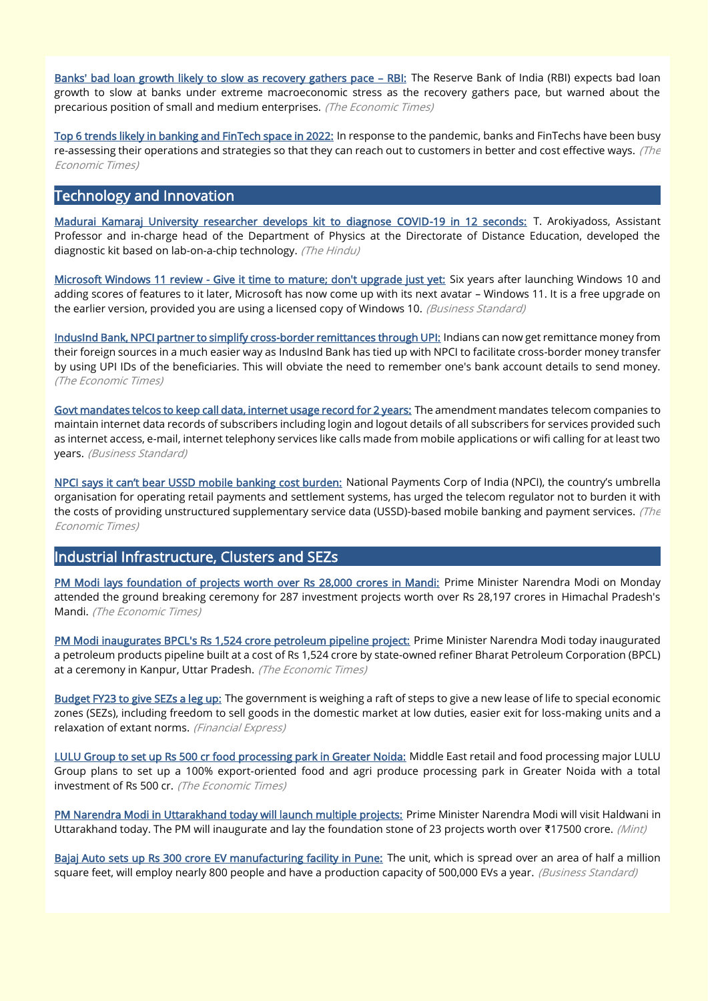[Banks' bad loan growth likely to slow as recovery gathers pace](https://economictimes.indiatimes.com/small-biz/sme-sector/banks-bad-loan-growth-likely-to-slow-as-recovery-gathers-pace-rbi/articleshow/88582029.cms) - RBI: The Reserve Bank of India (RBI) expects bad loan growth to slow at banks under extreme macroeconomic stress as the recovery gathers pace, but warned about the precarious position of small and medium enterprises. (The Economic Times)

[Top 6 trends likely in banking and FinTech space in 2022:](https://bfsi.economictimes.indiatimes.com/news/industry/top-6-trends-likely-in-banking-and-fintech-space-in-2022/88541058) In response to the pandemic, banks and FinTechs have been busy re-assessing their operations and strategies so that they can reach out to customers in better and cost effective ways. (The Economic Times)

# Technology and Innovation

[Madurai Kamaraj University researcher develops kit to diagnose COVID-19 in 12 seconds:](https://www.thehindu.com/sci-tech/health/madurai-kamaraj-university-researcher-develops-kit-to-diagnose-covid-19-in-12-seconds/article38042837.ece) T. Arokiyadoss, Assistant Professor and in-charge head of the Department of Physics at the Directorate of Distance Education, developed the diagnostic kit based on lab-on-a-chip technology. (The Hindu)

[Microsoft Windows 11 review - Give it time to mature; don't upgrade just yet:](https://www.business-standard.com/article/technology/microsoft-windows-11-review-give-it-time-to-mature-don-t-upgrade-just-yet-121122500373_1.html) Six years after launching Windows 10 and adding scores of features to it later, Microsoft has now come up with its next avatar – Windows 11. It is a free upgrade on the earlier version, provided you are using a licensed copy of Windows 10. (Business Standard)

[IndusInd Bank, NPCI partner to simplify cross-border remittances through UPI:](https://economictimes.indiatimes.com/industry/banking/finance/banking/indusind-bank-npci-partner-to-simplify-cross-border-remittances-through-upi/articleshow/88521991.cms) Indians can now get remittance money from their foreign sources in a much easier way as IndusInd Bank has tied up with NPCI to facilitate cross-border money transfer by using UPI IDs of the beneficiaries. This will obviate the need to remember one's bank account details to send money. (The Economic Times)

[Govt mandates telcos to keep call data, internet usage record for 2 years:](https://www.business-standard.com/article/economy-policy/govt-mandates-telcos-to-keep-call-data-internet-usage-record-for-2-years-121122400383_1.html) The amendment mandates telecom companies to maintain internet data records of subscribers including login and logout details of all subscribers for services provided such as internet access, e-mail, internet telephony services like calls made from mobile applications or wifi calling for at least two years. (Business Standard)

[NPCI says it can't bear USSD mobile banking cost burden:](https://economictimes.indiatimes.com/industry/banking/finance/npci-says-cant-bear-ussd-mobile-banking-cost-burden/articleshow/88520043.cms) National Payments Corp of India (NPCI), the country's umbrella organisation for operating retail payments and settlement systems, has urged the telecom regulator not to burden it with the costs of providing unstructured supplementary service data (USSD)-based mobile banking and payment services. (The Economic Times)

#### Industrial Infrastructure, Clusters and SEZs

[PM Modi lays foundation of projects worth over Rs 28,000 crores in Mandi:](https://economictimes.indiatimes.com/news/economy/infrastructure/pm-modi-lays-foundation-of-projects-worth-over-rs-28000-crores-in-mandi/articleshow/88520249.cms) Prime Minister Narendra Modi on Monday attended the ground breaking ceremony for 287 investment projects worth over Rs 28,197 crores in Himachal Pradesh's Mandi. (The Economic Times)

[PM Modi inaugurates BPCL's Rs 1,524 crore petroleum pipeline project:](https://energy.economictimes.indiatimes.com/news/oil-and-gas/pm-modi-inaugurates-bpcls-rs-1524-crore-petroleum-pipeline-project/88551414) Prime Minister Narendra Modi today inaugurated a petroleum products pipeline built at a cost of Rs 1,524 crore by state-owned refiner Bharat Petroleum Corporation (BPCL) at a ceremony in Kanpur, Uttar Pradesh. (The Economic Times)

[Budget FY23 to give SEZs a leg up:](https://www.financialexpress.com/economy/budget-fy23-to-give-sezs-a-leg-up/2390196/) The government is weighing a raft of steps to give a new lease of life to special economic zones (SEZs), including freedom to sell goods in the domestic market at low duties, easier exit for loss-making units and a relaxation of extant norms. (Financial Express)

[LULU Group to set up Rs 500 cr food processing park in Greater Noida:](https://economictimes.indiatimes.com/industry/cons-products/food/lulu-group-to-set-up-rs-500-cr-food-processing-park-in-greater-noida/articleshow/88572432.cms) Middle East retail and food processing major LULU Group plans to set up a 100% export-oriented food and agri produce processing park in Greater Noida with a total investment of Rs 500 cr. (The Economic Times)

[PM Narendra Modi in Uttarakhand today will launch multiple projects:](https://www.livemint.com/news/india/pm-narendra-modi-in-uttarakhand-today-will-launch-multiple-projects-11640826998865.html) Prime Minister Narendra Modi will visit Haldwani in Uttarakhand today. The PM will inaugurate and lay the foundation stone of 23 projects worth over ₹17500 crore. (Mint)

[Bajaj Auto sets up Rs 300 crore EV manufacturing facility in Pune:](https://www.business-standard.com/article/companies/bajaj-auto-sets-up-rs-300-crore-ev-manufacturing-facility-in-pune-121123000030_1.html) The unit, which is spread over an area of half a million square feet, will employ nearly 800 people and have a production capacity of 500,000 EVs a year. (Business Standard)